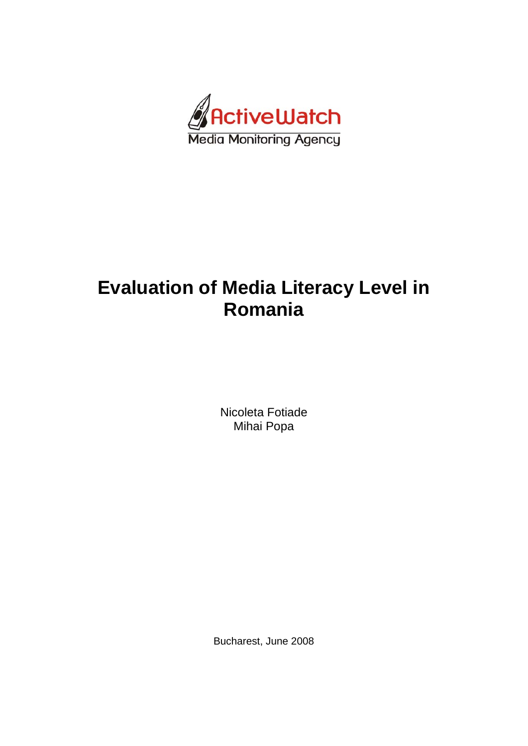

# **Evaluation of Media Literacy Level in Romania**

Nicoleta Fotiade Mihai Popa

Bucharest, June 2008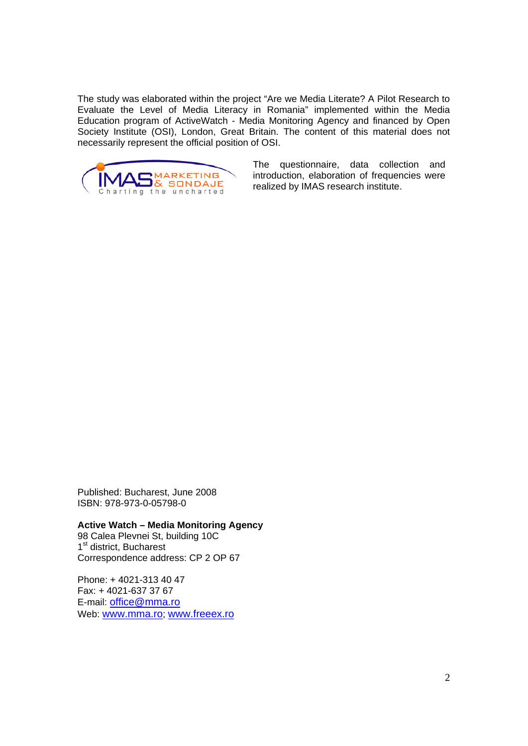The study was elaborated within the project "Are we Media Literate? A Pilot Research to Evaluate the Level of Media Literacy in Romania" implemented within the Media Education program of ActiveWatch - Media Monitoring Agency and financed by Open Society Institute (OSI), London, Great Britain. The content of this material does not necessarily represent the official position of OSI.



The questionnaire, data collection and introduction, elaboration of frequencies were realized by IMAS research institute.

Published: Bucharest, June 2008 ISBN: 978-973-0-05798-0

**Active Watch – Media Monitoring Agency**  98 Calea Plevnei St, building 10C 1<sup>st</sup> district, Bucharest Correspondence address: CP 2 OP 67

Phone: + 4021-313 40 47 Fax: + 4021-637 37 67 E-mail: office@mma.ro Web: www.mma.ro; www.freeex.ro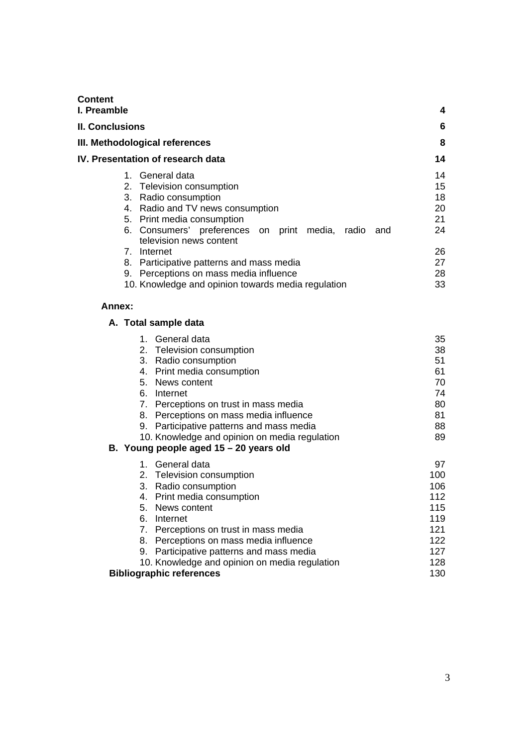| Content<br>I. Preamble |                                                                                                                                                                                               | 4                                |
|------------------------|-----------------------------------------------------------------------------------------------------------------------------------------------------------------------------------------------|----------------------------------|
| <b>II. Conclusions</b> |                                                                                                                                                                                               | 6                                |
|                        | III. Methodological references                                                                                                                                                                | 8                                |
|                        | IV. Presentation of research data                                                                                                                                                             | 14                               |
|                        | 1. General data<br>2. Television consumption<br>3. Radio consumption<br>4. Radio and TV news consumption<br>5. Print media consumption<br>6. Consumers' preferences on print media, radio and | 14<br>15<br>18<br>20<br>21<br>24 |
| 7.                     | television news content<br>Internet<br>8. Participative patterns and mass media<br>9. Perceptions on mass media influence<br>10. Knowledge and opinion towards media regulation               | 26<br>27<br>28<br>33             |

## **Annex:**

|    | A. Total sample data                          |     |
|----|-----------------------------------------------|-----|
|    | 1. General data                               | 35  |
|    | 2. Television consumption                     | 38  |
| 3. | Radio consumption                             | 51  |
| 4. | Print media consumption                       | 61  |
|    | 5. News content                               | 70  |
|    | 6. Internet                                   | 74  |
|    | 7. Perceptions on trust in mass media         | 80  |
| 8. | Perceptions on mass media influence           | 81  |
|    | 9. Participative patterns and mass media      | 88  |
|    | 10. Knowledge and opinion on media regulation | 89  |
|    | B. Young people aged 15 - 20 years old        |     |
|    | 1. General data                               | 97  |
|    | 2. Television consumption                     | 100 |
| 3. | Radio consumption                             | 106 |
|    | 4. Print media consumption                    | 112 |
|    | 5. News content                               | 115 |
|    | 6. Internet                                   | 119 |
|    | 7. Perceptions on trust in mass media         | 121 |
| 8. | Perceptions on mass media influence           | 122 |
| 9. | Participative patterns and mass media         | 127 |
|    | 10. Knowledge and opinion on media regulation | 128 |
|    | <b>Bibliographic references</b>               | 130 |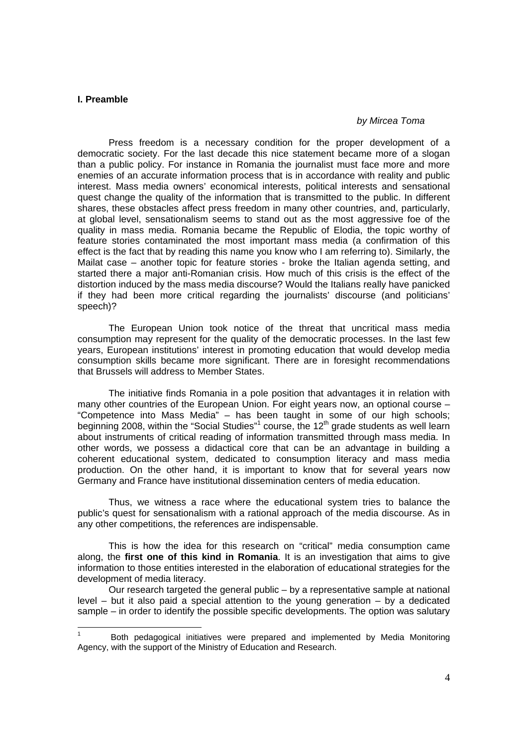#### **I. Preamble**

#### *by Mircea Toma*

Press freedom is a necessary condition for the proper development of a democratic society. For the last decade this nice statement became more of a slogan than a public policy. For instance in Romania the journalist must face more and more enemies of an accurate information process that is in accordance with reality and public interest. Mass media owners' economical interests, political interests and sensational quest change the quality of the information that is transmitted to the public. In different shares, these obstacles affect press freedom in many other countries, and, particularly, at global level, sensationalism seems to stand out as the most aggressive foe of the quality in mass media. Romania became the Republic of Elodia, the topic worthy of feature stories contaminated the most important mass media (a confirmation of this effect is the fact that by reading this name you know who I am referring to). Similarly, the Mailat case – another topic for feature stories - broke the Italian agenda setting, and started there a major anti-Romanian crisis. How much of this crisis is the effect of the distortion induced by the mass media discourse? Would the Italians really have panicked if they had been more critical regarding the journalists' discourse (and politicians' speech)?

The European Union took notice of the threat that uncritical mass media consumption may represent for the quality of the democratic processes. In the last few years, European institutions' interest in promoting education that would develop media consumption skills became more significant. There are in foresight recommendations that Brussels will address to Member States.

 The initiative finds Romania in a pole position that advantages it in relation with many other countries of the European Union. For eight years now, an optional course – "Competence into Mass Media" – has been taught in some of our high schools; beginning 2008, within the "Social Studies"<sup>1</sup> course, the 12<sup>th</sup> grade students as well learn about instruments of critical reading of information transmitted through mass media. In other words, we possess a didactical core that can be an advantage in building a coherent educational system, dedicated to consumption literacy and mass media production. On the other hand, it is important to know that for several years now Germany and France have institutional dissemination centers of media education.

 Thus, we witness a race where the educational system tries to balance the public's quest for sensationalism with a rational approach of the media discourse. As in any other competitions, the references are indispensable.

 This is how the idea for this research on "critical" media consumption came along, the **first one of this kind in Romania**. It is an investigation that aims to give information to those entities interested in the elaboration of educational strategies for the development of media literacy.

 Our research targeted the general public – by a representative sample at national level – but it also paid a special attention to the young generation – by a dedicated sample – in order to identify the possible specific developments. The option was salutary

<sup>1</sup> Both pedagogical initiatives were prepared and implemented by Media Monitoring Agency, with the support of the Ministry of Education and Research.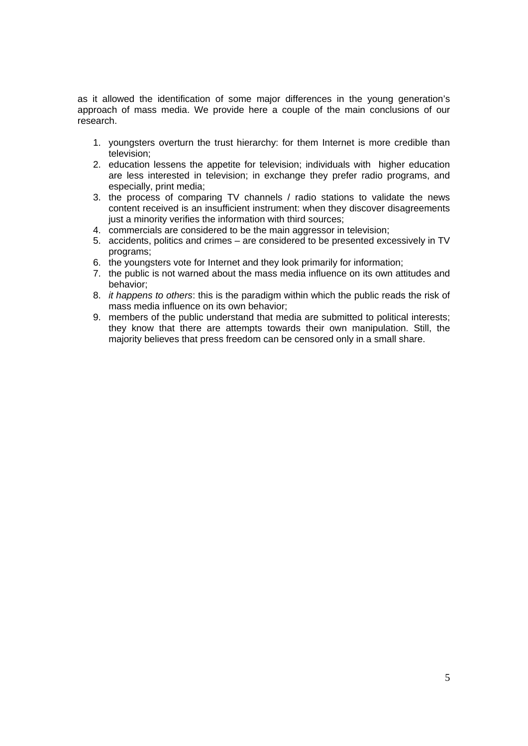as it allowed the identification of some major differences in the young generation's approach of mass media. We provide here a couple of the main conclusions of our research.

- 1. youngsters overturn the trust hierarchy: for them Internet is more credible than television;
- 2. education lessens the appetite for television; individuals with higher education are less interested in television; in exchange they prefer radio programs, and especially, print media;
- 3. the process of comparing TV channels / radio stations to validate the news content received is an insufficient instrument: when they discover disagreements just a minority verifies the information with third sources;
- 4. commercials are considered to be the main aggressor in television;
- 5. accidents, politics and crimes are considered to be presented excessively in TV programs;
- 6. the youngsters vote for Internet and they look primarily for information;
- 7. the public is not warned about the mass media influence on its own attitudes and behavior;
- 8. *it happens to others*: this is the paradigm within which the public reads the risk of mass media influence on its own behavior;
- 9. members of the public understand that media are submitted to political interests; they know that there are attempts towards their own manipulation. Still, the majority believes that press freedom can be censored only in a small share.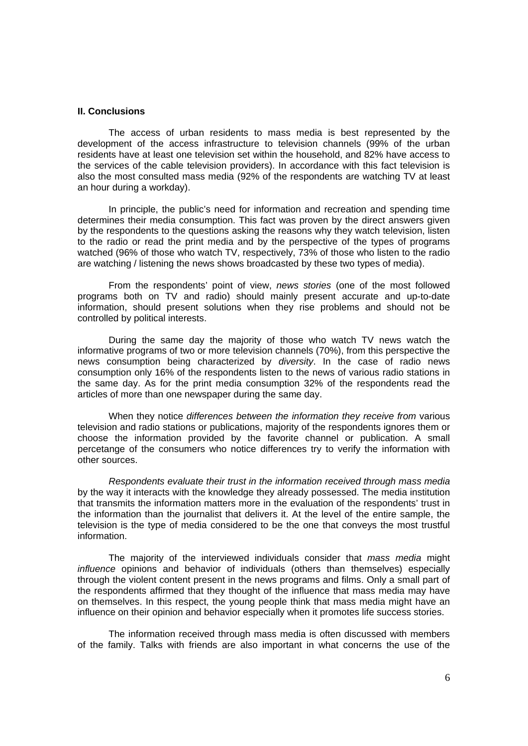#### **II. Conclusions**

The access of urban residents to mass media is best represented by the development of the access infrastructure to television channels (99% of the urban residents have at least one television set within the household, and 82% have access to the services of the cable television providers). In accordance with this fact television is also the most consulted mass media (92% of the respondents are watching TV at least an hour during a workday).

 In principle, the public's need for information and recreation and spending time determines their media consumption. This fact was proven by the direct answers given by the respondents to the questions asking the reasons why they watch television, listen to the radio or read the print media and by the perspective of the types of programs watched (96% of those who watch TV, respectively, 73% of those who listen to the radio are watching / listening the news shows broadcasted by these two types of media).

 From the respondents' point of view, *news stories* (one of the most followed programs both on TV and radio) should mainly present accurate and up-to-date information, should present solutions when they rise problems and should not be controlled by political interests.

 During the same day the majority of those who watch TV news watch the informative programs of two or more television channels (70%), from this perspective the news consumption being characterized by *diversity*. In the case of radio news consumption only 16% of the respondents listen to the news of various radio stations in the same day. As for the print media consumption 32% of the respondents read the articles of more than one newspaper during the same day.

 When they notice *differences between the information they receive from* various television and radio stations or publications, majority of the respondents ignores them or choose the information provided by the favorite channel or publication. A small percetange of the consumers who notice differences try to verify the information with other sources.

*Respondents evaluate their trust in the information received through mass media*  by the way it interacts with the knowledge they already possessed. The media institution that transmits the information matters more in the evaluation of the respondents' trust in the information than the journalist that delivers it. At the level of the entire sample, the television is the type of media considered to be the one that conveys the most trustful information.

 The majority of the interviewed individuals consider that *mass media* might *influence* opinions and behavior of individuals (others than themselves) especially through the violent content present in the news programs and films. Only a small part of the respondents affirmed that they thought of the influence that mass media may have on themselves. In this respect, the young people think that mass media might have an influence on their opinion and behavior especially when it promotes life success stories.

 The information received through mass media is often discussed with members of the family. Talks with friends are also important in what concerns the use of the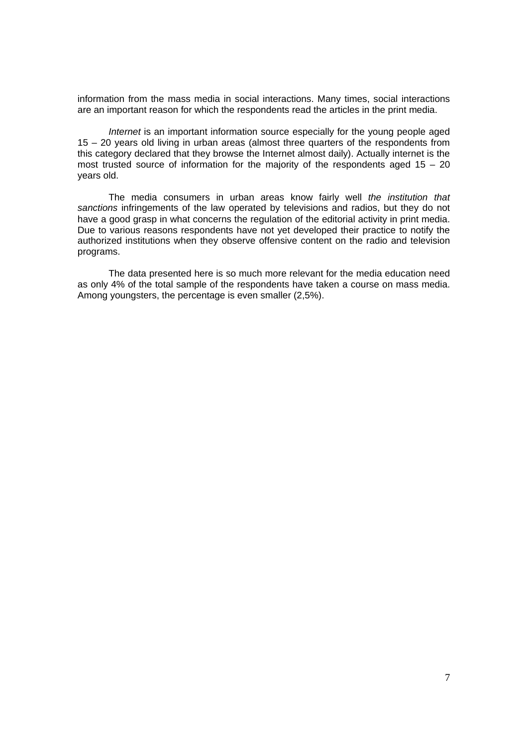information from the mass media in social interactions. Many times, social interactions are an important reason for which the respondents read the articles in the print media.

*Internet* is an important information source especially for the young people aged 15 – 20 years old living in urban areas (almost three quarters of the respondents from this category declared that they browse the Internet almost daily). Actually internet is the most trusted source of information for the majority of the respondents aged  $15 - 20$ years old.

 The media consumers in urban areas know fairly well *the institution that sanctions* infringements of the law operated by televisions and radios, but they do not have a good grasp in what concerns the regulation of the editorial activity in print media. Due to various reasons respondents have not yet developed their practice to notify the authorized institutions when they observe offensive content on the radio and television programs.

 The data presented here is so much more relevant for the media education need as only 4% of the total sample of the respondents have taken a course on mass media. Among youngsters, the percentage is even smaller (2,5%).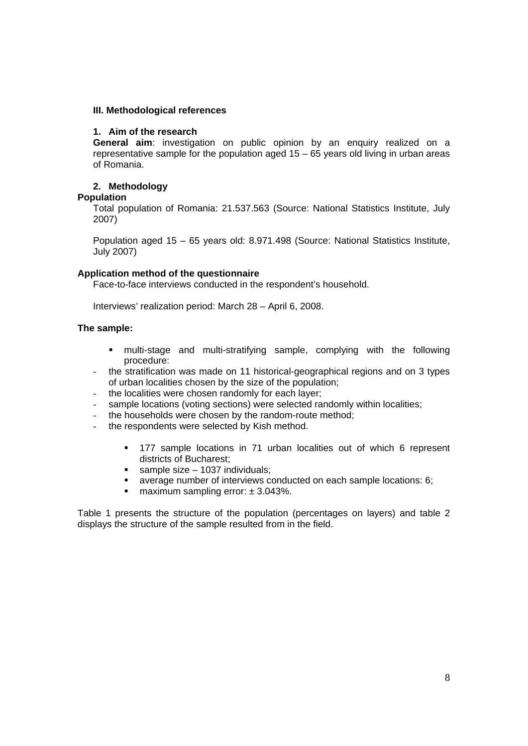#### **III. Methodological references**

#### **1. Aim of the research**

**General aim**: investigation on public opinion by an enquiry realized on a representative sample for the population aged 15 – 65 years old living in urban areas of Romania.

## **2. Methodology**

#### **Population**

Total population of Romania: 21.537.563 (Source: National Statistics Institute, July 2007)

Population aged 15 – 65 years old: 8.971.498 (Source: National Statistics Institute, July 2007)

#### **Application method of the questionnaire**

Face-to-face interviews conducted in the respondent's household.

Interviews' realization period: March 28 – April 6, 2008.

#### **The sample:**

- multi-stage and multi-stratifying sample, complying with the following procedure:
- the stratification was made on 11 historical-geographical regions and on 3 types of urban localities chosen by the size of the population;
- the localities were chosen randomly for each layer;
- sample locations (voting sections) were selected randomly within localities;
- the households were chosen by the random-route method;
- the respondents were selected by Kish method.
	- 177 sample locations in 71 urban localities out of which 6 represent districts of Bucharest;
	- $\blacksquare$  sample size 1037 individuals;
	- average number of interviews conducted on each sample locations: 6;
	- **maximum sampling error:**  $\pm$  3.043%.

Table 1 presents the structure of the population (percentages on layers) and table 2 displays the structure of the sample resulted from in the field.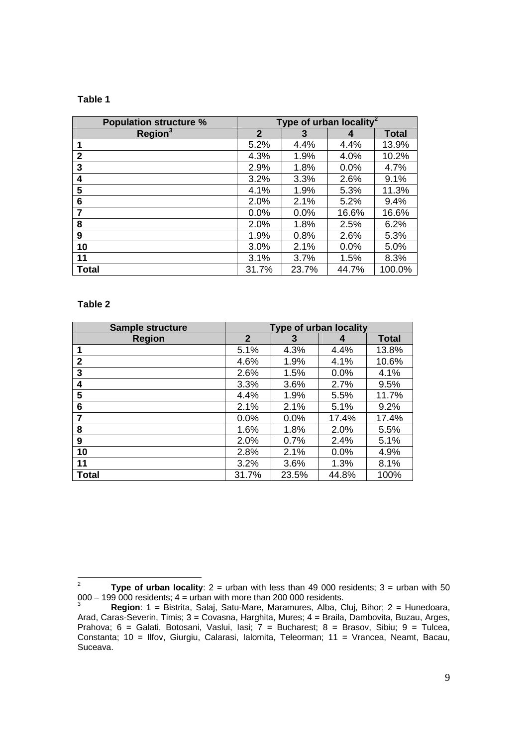## **Table 1**

| <b>Population structure %</b> | Type of urban locality <sup>2</sup> |         |         |              |  |
|-------------------------------|-------------------------------------|---------|---------|--------------|--|
| Region <sup>3</sup>           | $\overline{2}$                      | 3       | 4       | <b>Total</b> |  |
| 1                             | 5.2%                                | 4.4%    | 4.4%    | 13.9%        |  |
| $\mathbf{2}$                  | 4.3%                                | 1.9%    | 4.0%    | 10.2%        |  |
| 3                             | 2.9%                                | 1.8%    | 0.0%    | 4.7%         |  |
| 4                             | 3.2%                                | 3.3%    | 2.6%    | 9.1%         |  |
| 5                             | 4.1%                                | 1.9%    | 5.3%    | 11.3%        |  |
| 6                             | 2.0%                                | 2.1%    | 5.2%    | 9.4%         |  |
| 7                             | $0.0\%$                             | $0.0\%$ | 16.6%   | 16.6%        |  |
| 8                             | 2.0%                                | 1.8%    | 2.5%    | 6.2%         |  |
| 9                             | 1.9%                                | 0.8%    | 2.6%    | 5.3%         |  |
| 10                            | 3.0%                                | 2.1%    | $0.0\%$ | 5.0%         |  |
| 11                            | 3.1%                                | 3.7%    | 1.5%    | 8.3%         |  |
| <b>Total</b>                  | 31.7%                               | 23.7%   | 44.7%   | 100.0%       |  |

#### **Table 2**

| <b>Sample structure</b> | <b>Type of urban locality</b> |       |         |              |  |
|-------------------------|-------------------------------|-------|---------|--------------|--|
| <b>Region</b>           | $\mathbf{2}$                  | 3     | 4       | <b>Total</b> |  |
| 1                       | 5.1%                          | 4.3%  | 4.4%    | 13.8%        |  |
| $\mathbf{2}$            | 4.6%                          | 1.9%  | 4.1%    | 10.6%        |  |
| 3                       | 2.6%                          | 1.5%  | 0.0%    | 4.1%         |  |
| 4                       | 3.3%                          | 3.6%  | 2.7%    | 9.5%         |  |
| 5                       | 4.4%                          | 1.9%  | 5.5%    | 11.7%        |  |
| 6                       | 2.1%                          | 2.1%  | 5.1%    | 9.2%         |  |
| 7                       | 0.0%                          | 0.0%  | 17.4%   | 17.4%        |  |
| 8                       | 1.6%                          | 1.8%  | 2.0%    | 5.5%         |  |
| 9                       | 2.0%                          | 0.7%  | 2.4%    | 5.1%         |  |
| 10                      | 2.8%                          | 2.1%  | $0.0\%$ | 4.9%         |  |
| 11                      | 3.2%                          | 3.6%  | 1.3%    | 8.1%         |  |
| Total                   | 31.7%                         | 23.5% | 44.8%   | 100%         |  |

 $\frac{1}{2}$ **Type of urban locality**:  $2 =$  urban with less than 49 000 residents;  $3 =$  urban with 50  $0.00 - 199000$  residents;  $4 =$  urban with more than 200000 residents.

**Region**: 1 = Bistrita, Salaj, Satu-Mare, Maramures, Alba, Cluj, Bihor; 2 = Hunedoara, Arad, Caras-Severin, Timis; 3 = Covasna, Harghita, Mures; 4 = Braila, Dambovita, Buzau, Arges, Prahova; 6 = Galati, Botosani, Vaslui, Iasi; 7 = Bucharest; 8 = Brasov, Sibiu; 9 = Tulcea, Constanta; 10 = Ilfov, Giurgiu, Calarasi, Ialomita, Teleorman; 11 = Vrancea, Neamt, Bacau, Suceava.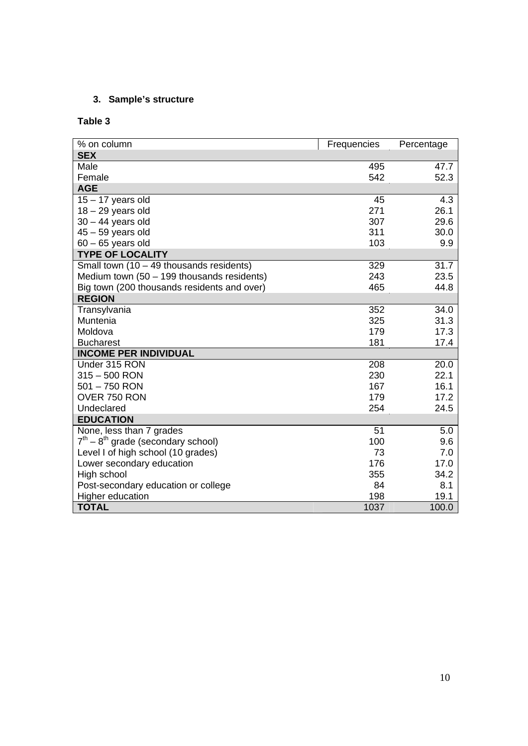## **3. Sample's structure**

## **Table 3**

| % on column                                  | Frequencies | Percentage |
|----------------------------------------------|-------------|------------|
| <b>SEX</b>                                   |             |            |
| Male                                         | 495         | 47.7       |
| Female                                       | 542         | 52.3       |
| <b>AGE</b>                                   |             |            |
| $15 - 17$ years old                          | 45          | 4.3        |
| $18 - 29$ years old                          | 271         | 26.1       |
| $30 - 44$ years old                          | 307         | 29.6       |
| $45 - 59$ years old                          | 311         | 30.0       |
| $60 - 65$ years old                          | 103         | 9.9        |
| <b>TYPE OF LOCALITY</b>                      |             |            |
| Small town $(10 - 49$ thousands residents)   | 329         | 31.7       |
| Medium town $(50 - 199$ thousands residents) | 243         | 23.5       |
| Big town (200 thousands residents and over)  | 465         | 44.8       |
| <b>REGION</b>                                |             |            |
| Transylvania                                 | 352         | 34.0       |
| Muntenia                                     | 325         | 31.3       |
| Moldova                                      | 179         | 17.3       |
| <b>Bucharest</b>                             | 181         | 17.4       |
| <b>INCOME PER INDIVIDUAL</b>                 |             |            |
| Under 315 RON                                | 208         | 20.0       |
| $315 - 500$ RON                              | 230         | 22.1       |
| $501 - 750$ RON                              | 167         | 16.1       |
| OVER 750 RON                                 | 179         | 17.2       |
| Undeclared                                   | 254         | 24.5       |
| <b>EDUCATION</b>                             |             |            |
| None, less than 7 grades                     | 51          | 5.0        |
| $7th - 8th$ grade (secondary school)         | 100         | 9.6        |
| Level I of high school (10 grades)           | 73          | 7.0        |
| Lower secondary education                    | 176         | 17.0       |
| High school                                  | 355         | 34.2       |
| Post-secondary education or college          | 84          | 8.1        |
| <b>Higher education</b>                      | 198         | 19.1       |
| <b>TOTAL</b>                                 | 1037        | 100.0      |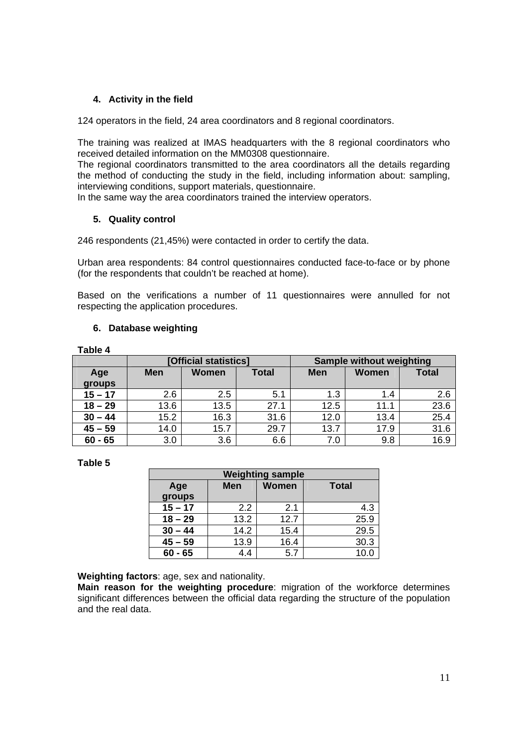## **4. Activity in the field**

124 operators in the field, 24 area coordinators and 8 regional coordinators.

The training was realized at IMAS headquarters with the 8 regional coordinators who received detailed information on the MM0308 questionnaire.

The regional coordinators transmitted to the area coordinators all the details regarding the method of conducting the study in the field, including information about: sampling, interviewing conditions, support materials, questionnaire.

In the same way the area coordinators trained the interview operators.

## **5. Quality control**

246 respondents (21,45%) were contacted in order to certify the data.

Urban area respondents: 84 control questionnaires conducted face-to-face or by phone (for the respondents that couldn't be reached at home).

Based on the verifications a number of 11 questionnaires were annulled for not respecting the application procedures.

## **6. Database weighting**

| .         |                       |              |                          |            |              |              |
|-----------|-----------------------|--------------|--------------------------|------------|--------------|--------------|
|           | [Official statistics] |              | Sample without weighting |            |              |              |
| Age       | <b>Men</b>            | <b>Women</b> | <b>Total</b>             | <b>Men</b> | <b>Women</b> | <b>Total</b> |
| groups    |                       |              |                          |            |              |              |
| $15 - 17$ | 2.6                   | 2.5          | 5.1                      | 1.3        | 1.4          | 2.6          |
| $18 - 29$ | 13.6                  | 13.5         | 27.1                     | 12.5       | 11.1         | 23.6         |
| $30 - 44$ | 15.2                  | 16.3         | 31.6                     | 12.0       | 13.4         | 25.4         |
| $45 - 59$ | 14.0                  | 15.7         | 29.7                     | 13.7       | 17.9         | 31.6         |
| $60 - 65$ | 3.0                   | 3.6          | 6.6                      | 7.0        | 9.8          | 16.9         |

**Table 4** 

## **Table 5**

| <b>Weighting sample</b>                           |      |      |      |  |  |  |  |
|---------------------------------------------------|------|------|------|--|--|--|--|
| <b>Women</b><br><b>Men</b><br><b>Total</b><br>Age |      |      |      |  |  |  |  |
| groups                                            |      |      |      |  |  |  |  |
| $15 - 17$                                         | 2.2  | 2.1  | 4.3  |  |  |  |  |
| $18 - 29$                                         | 13.2 | 12.7 | 25.9 |  |  |  |  |
| $30 - 44$                                         | 14.2 | 15.4 | 29.5 |  |  |  |  |
| $45 - 59$                                         | 13.9 | 16.4 | 30.3 |  |  |  |  |
| $60 - 65$                                         | 4.4  | 5.7  | 10.0 |  |  |  |  |

**Weighting factors**: age, sex and nationality.

**Main reason for the weighting procedure**: migration of the workforce determines significant differences between the official data regarding the structure of the population and the real data.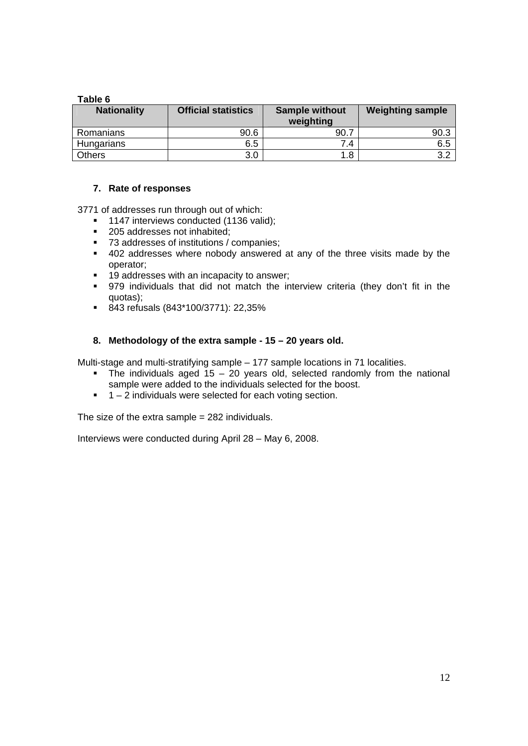## **Table 6**

| <b>Nationality</b> | <b>Official statistics</b> | <b>Sample without</b><br>weighting | <b>Weighting sample</b> |
|--------------------|----------------------------|------------------------------------|-------------------------|
| Romanians          | 90.6                       | 90.                                | 90.3                    |
| Hungarians         | 6.5                        | .4                                 | 6.5                     |
| Others             | 3.0                        | 1.8                                | っっ                      |

## **7. Rate of responses**

3771 of addresses run through out of which:

- <sup>1</sup> 1147 interviews conducted (1136 valid):
- 205 addresses not inhabited;
- 73 addresses of institutions / companies;
- 402 addresses where nobody answered at any of the three visits made by the operator;
- **19 addresses with an incapacity to answer;**
- 979 individuals that did not match the interview criteria (they don't fit in the quotas);
- 843 refusals (843\*100/3771): 22,35%

## **8. Methodology of the extra sample - 15 – 20 years old.**

Multi-stage and multi-stratifying sample – 177 sample locations in 71 localities.

- $\blacksquare$  The individuals aged 15 20 years old, selected randomly from the national sample were added to the individuals selected for the boost.
- $1 2$  individuals were selected for each voting section.

The size of the extra sample  $= 282$  individuals.

Interviews were conducted during April 28 – May 6, 2008.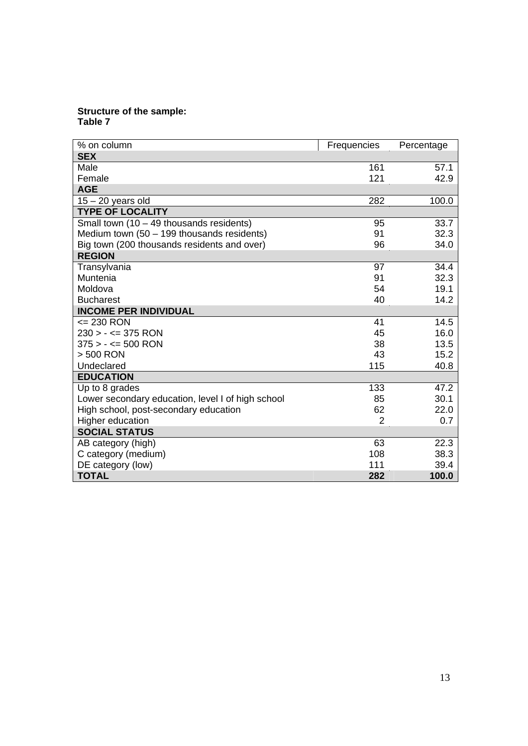## **Structure of the sample: Table 7**

| % on column                                       | Frequencies    | Percentage |
|---------------------------------------------------|----------------|------------|
| <b>SEX</b>                                        |                |            |
| Male                                              | 161            | 57.1       |
| Female                                            | 121            | 42.9       |
| <b>AGE</b>                                        |                |            |
| $15 - 20$ years old                               | 282            | 100.0      |
| <b>TYPE OF LOCALITY</b>                           |                |            |
| Small town $(10 - 49$ thousands residents)        | 95             | 33.7       |
| Medium town $(50 - 199$ thousands residents)      | 91             | 32.3       |
| Big town (200 thousands residents and over)       | 96             | 34.0       |
| <b>REGION</b>                                     |                |            |
| Transylvania                                      | 97             | 34.4       |
| Muntenia                                          | 91             | 32.3       |
| Moldova                                           | 54             | 19.1       |
| <b>Bucharest</b>                                  | 40             | 14.2       |
| <b>INCOME PER INDIVIDUAL</b>                      |                |            |
| <= 230 RON                                        | 41             | 14.5       |
| $230 > - \le 375$ RON                             | 45             | 16.0       |
| $375 > - \le 500$ RON                             | 38             | 13.5       |
| > 500 RON                                         | 43             | 15.2       |
| Undeclared                                        | 115            | 40.8       |
| <b>EDUCATION</b>                                  |                |            |
| Up to 8 grades                                    | 133            | 47.2       |
| Lower secondary education, level I of high school | 85             | 30.1       |
| High school, post-secondary education             | 62             | 22.0       |
| Higher education                                  | $\overline{2}$ | 0.7        |
| <b>SOCIAL STATUS</b>                              |                |            |
| AB category (high)                                | 63             | 22.3       |
| C category (medium)                               | 108            | 38.3       |
| DE category (low)                                 | 111            | 39.4       |
| <b>TOTAL</b>                                      | 282            | 100.0      |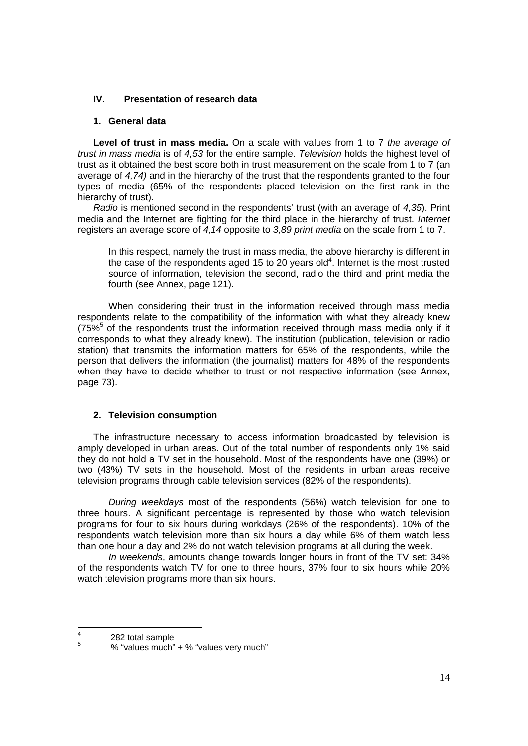## **IV. Presentation of research data**

## **1. General data**

**Level of trust in mass media.** On a scale with values from 1 to 7 *the average of trust in mass media* is of *4,53* for the entire sample. *Television* holds the highest level of trust as it obtained the best score both in trust measurement on the scale from 1 to 7 (an average of *4,74)* and in the hierarchy of the trust that the respondents granted to the four types of media (65% of the respondents placed television on the first rank in the hierarchy of trust).

*Radio* is mentioned second in the respondents' trust (with an average of *4,35*). Print media and the Internet are fighting for the third place in the hierarchy of trust. *Internet*  registers an average score of *4,14* opposite to *3,89 print media* on the scale from 1 to 7.

In this respect, namely the trust in mass media, the above hierarchy is different in the case of the respondents aged 15 to 20 years old<sup>4</sup>. Internet is the most trusted source of information, television the second, radio the third and print media the fourth (see Annex, page 121).

When considering their trust in the information received through mass media respondents relate to the compatibility of the information with what they already knew  $(75\%^5)$  of the respondents trust the information received through mass media only if it corresponds to what they already knew). The institution (publication, television or radio station) that transmits the information matters for 65% of the respondents, while the person that delivers the information (the journalist) matters for 48% of the respondents when they have to decide whether to trust or not respective information (see Annex, page 73).

## **2. Television consumption**

The infrastructure necessary to access information broadcasted by television is amply developed in urban areas. Out of the total number of respondents only 1% said they do not hold a TV set in the household. Most of the respondents have one (39%) or two (43%) TV sets in the household. Most of the residents in urban areas receive television programs through cable television services (82% of the respondents).

 *During weekdays* most of the respondents (56%) watch television for one to three hours. A significant percentage is represented by those who watch television programs for four to six hours during workdays (26% of the respondents). 10% of the respondents watch television more than six hours a day while 6% of them watch less than one hour a day and 2% do not watch television programs at all during the week.

*In weekends*, amounts change towards longer hours in front of the TV set: 34% of the respondents watch TV for one to three hours, 37% four to six hours while 20% watch television programs more than six hours.

 $\frac{1}{4}$  $\frac{4}{5}$  282 total sample

 <sup>% &</sup>quot;values much" + % "values very much"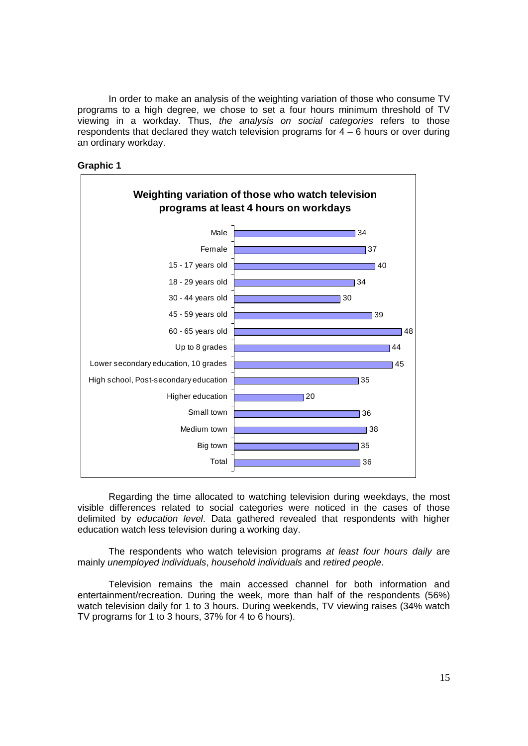In order to make an analysis of the weighting variation of those who consume TV programs to a high degree, we chose to set a four hours minimum threshold of TV viewing in a workday. Thus, *the analysis on social categories* refers to those respondents that declared they watch television programs for  $4 - 6$  hours or over during an ordinary workday.





Regarding the time allocated to watching television during weekdays, the most visible differences related to social categories were noticed in the cases of those delimited by *education level*. Data gathered revealed that respondents with higher education watch less television during a working day.

The respondents who watch television programs *at least four hours daily* are mainly *unemployed individuals*, *household individuals* and *retired people*.

Television remains the main accessed channel for both information and entertainment/recreation. During the week, more than half of the respondents (56%) watch television daily for 1 to 3 hours. During weekends, TV viewing raises (34% watch TV programs for 1 to 3 hours, 37% for 4 to 6 hours).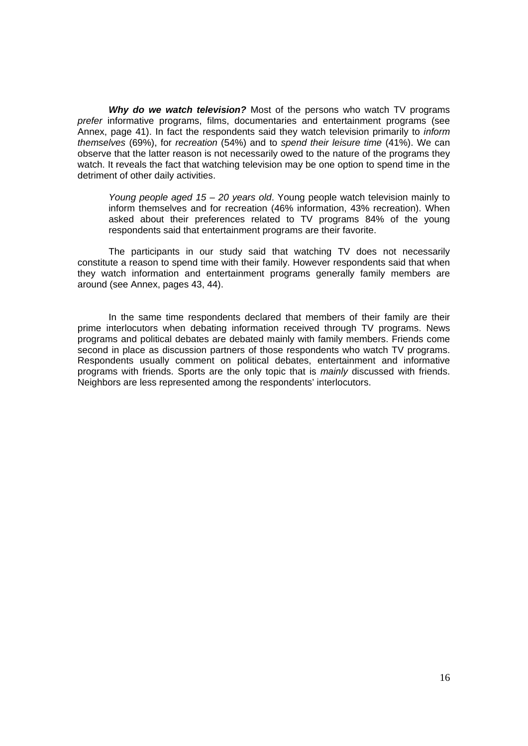*Why do we watch television?* Most of the persons who watch TV programs *prefer* informative programs, films, documentaries and entertainment programs (see Annex, page 41). In fact the respondents said they watch television primarily to *inform themselves* (69%), for *recreation* (54%) and to *spend their leisure time* (41%). We can observe that the latter reason is not necessarily owed to the nature of the programs they watch. It reveals the fact that watching television may be one option to spend time in the detriment of other daily activities.

*Young people aged 15 – 20 years old*. Young people watch television mainly to inform themselves and for recreation (46% information, 43% recreation). When asked about their preferences related to TV programs 84% of the young respondents said that entertainment programs are their favorite.

 The participants in our study said that watching TV does not necessarily constitute a reason to spend time with their family. However respondents said that when they watch information and entertainment programs generally family members are around (see Annex, pages 43, 44).

 In the same time respondents declared that members of their family are their prime interlocutors when debating information received through TV programs. News programs and political debates are debated mainly with family members. Friends come second in place as discussion partners of those respondents who watch TV programs. Respondents usually comment on political debates, entertainment and informative programs with friends. Sports are the only topic that is *mainly* discussed with friends. Neighbors are less represented among the respondents' interlocutors.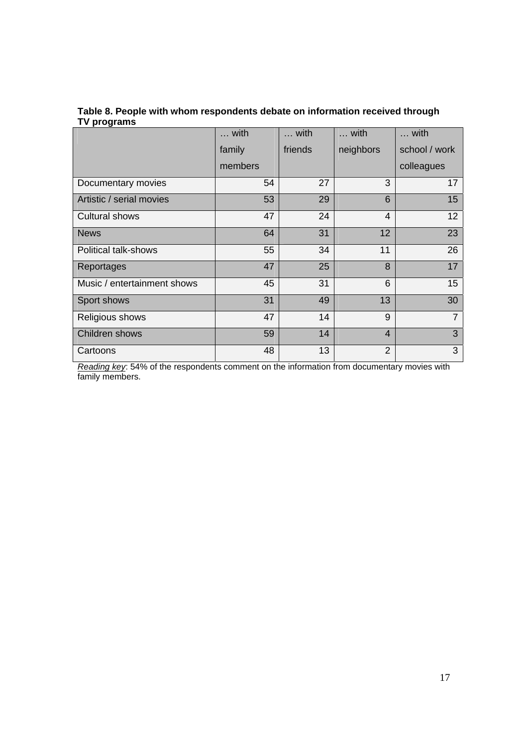## **Table 8. People with whom respondents debate on information received through TV programs**

|                             | with    | with    | with           | with           |
|-----------------------------|---------|---------|----------------|----------------|
|                             | family  | friends | neighbors      | school / work  |
|                             | members |         |                | colleagues     |
| Documentary movies          | 54      | 27      | 3              | 17             |
| Artistic / serial movies    | 53      | 29      | 6              | 15             |
| <b>Cultural shows</b>       | 47      | 24      | $\overline{4}$ | 12             |
| <b>News</b>                 | 64      | 31      | 12             | 23             |
| Political talk-shows        | 55      | 34      | 11             | 26             |
| Reportages                  | 47      | 25      | 8              | 17             |
| Music / entertainment shows | 45      | 31      | 6              | 15             |
| Sport shows                 | 31      | 49      | 13             | 30             |
| Religious shows             | 47      | 14      | 9              | $\overline{7}$ |
| Children shows              | 59      | 14      | $\overline{4}$ | 3              |
| Cartoons                    | 48      | 13      | $\overline{2}$ | 3              |

*Reading key*: 54% of the respondents comment on the information from documentary movies with family members.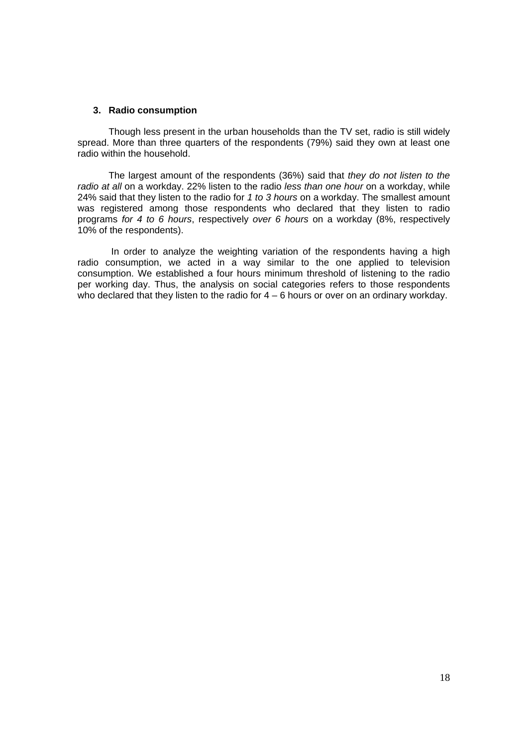#### **3. Radio consumption**

Though less present in the urban households than the TV set, radio is still widely spread. More than three quarters of the respondents (79%) said they own at least one radio within the household.

 The largest amount of the respondents (36%) said that *they do not listen to the radio at all* on a workday. 22% listen to the radio *less than one hour* on a workday, while 24% said that they listen to the radio for *1 to 3 hours* on a workday. The smallest amount was registered among those respondents who declared that they listen to radio programs *for 4 to 6 hours*, respectively *over 6 hours* on a workday (8%, respectively 10% of the respondents).

 In order to analyze the weighting variation of the respondents having a high radio consumption, we acted in a way similar to the one applied to television consumption. We established a four hours minimum threshold of listening to the radio per working day. Thus, the analysis on social categories refers to those respondents who declared that they listen to the radio for  $4 - 6$  hours or over on an ordinary workday.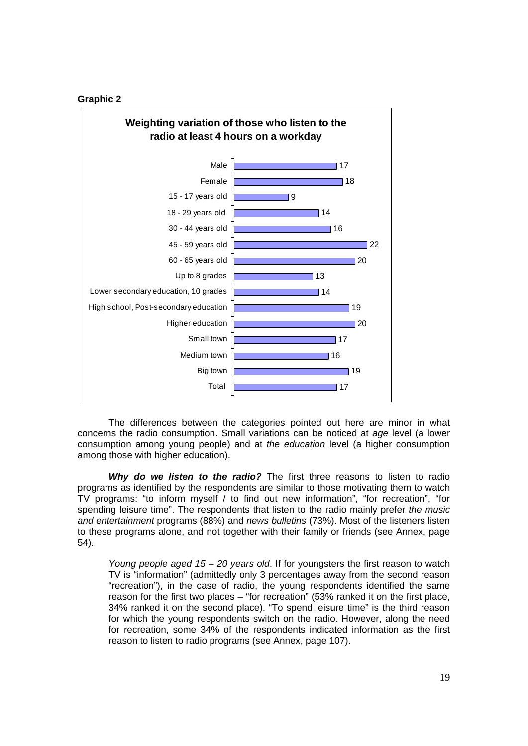#### **Graphic 2**



The differences between the categories pointed out here are minor in what concerns the radio consumption. Small variations can be noticed at *age* level (a lower consumption among young people) and at *the education* level (a higher consumption among those with higher education).

*Why do we listen to the radio?* The first three reasons to listen to radio programs as identified by the respondents are similar to those motivating them to watch TV programs: "to inform myself / to find out new information", "for recreation", "for spending leisure time". The respondents that listen to the radio mainly prefer *the music and entertainment* programs (88%) and *news bulletins* (73%). Most of the listeners listen to these programs alone, and not together with their family or friends (see Annex, page 54).

*Young people aged 15 – 20 years old*. If for youngsters the first reason to watch TV is "information" (admittedly only 3 percentages away from the second reason "recreation"), in the case of radio, the young respondents identified the same reason for the first two places – "for recreation" (53% ranked it on the first place, 34% ranked it on the second place). "To spend leisure time" is the third reason for which the young respondents switch on the radio. However, along the need for recreation, some 34% of the respondents indicated information as the first reason to listen to radio programs (see Annex, page 107).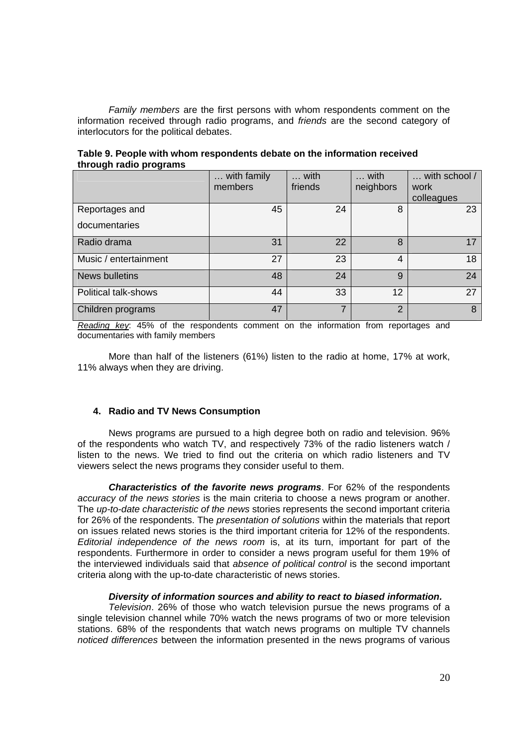*Family members* are the first persons with whom respondents comment on the information received through radio programs, and *friends* are the second category of interlocutors for the political debates.

|                       | with family<br>members | with<br>friends | with<br>neighbors | with school /<br>work<br>colleagues |
|-----------------------|------------------------|-----------------|-------------------|-------------------------------------|
| Reportages and        | 45                     | 24              | 8                 | 23                                  |
| documentaries         |                        |                 |                   |                                     |
| Radio drama           | 31                     | 22              | 8                 | 17                                  |
| Music / entertainment | 27                     | 23              | $\overline{4}$    | 18                                  |
| <b>News bulletins</b> | 48                     | 24              | 9                 | 24                                  |
| Political talk-shows  | 44                     | 33              | $12 \overline{ }$ | 27                                  |
| Children programs     | 47                     | 7               | 2                 | 8                                   |

**Table 9. People with whom respondents debate on the information received through radio programs** 

*Reading key*: 45% of the respondents comment on the information from reportages and documentaries with family members

 More than half of the listeners (61%) listen to the radio at home, 17% at work, 11% always when they are driving.

## **4. Radio and TV News Consumption**

News programs are pursued to a high degree both on radio and television. 96% of the respondents who watch TV, and respectively 73% of the radio listeners watch / listen to the news. We tried to find out the criteria on which radio listeners and TV viewers select the news programs they consider useful to them.

*Characteristics of the favorite news programs*. For 62% of the respondents *accuracy of the news stories* is the main criteria to choose a news program or another. The *up-to-date characteristic of the news* stories represents the second important criteria for 26% of the respondents. The *presentation of solutions* within the materials that report on issues related news stories is the third important criteria for 12% of the respondents. *Editorial independence of the news room* is, at its turn, important for part of the respondents. Furthermore in order to consider a news program useful for them 19% of the interviewed individuals said that *absence of political control* is the second important criteria along with the up-to-date characteristic of news stories.

## *Diversity of information sources and ability to react to biased information.*

*Television*. 26% of those who watch television pursue the news programs of a single television channel while 70% watch the news programs of two or more television stations. 68% of the respondents that watch news programs on multiple TV channels *noticed differences* between the information presented in the news programs of various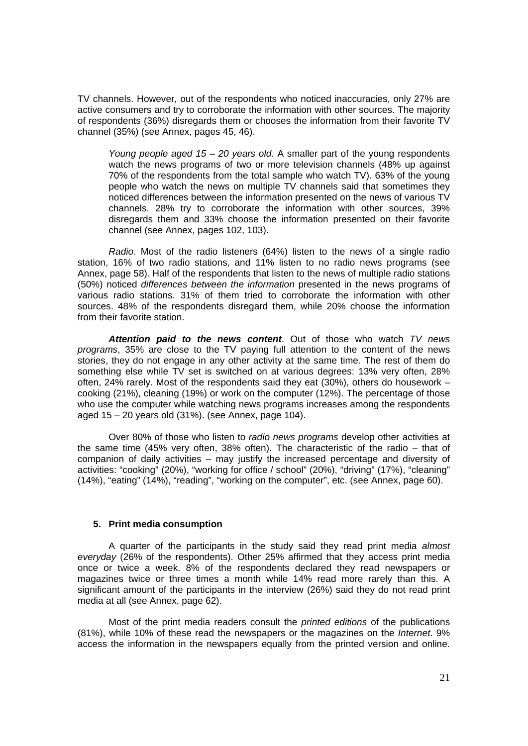TV channels. However, out of the respondents who noticed inaccuracies, only 27% are active consumers and try to corroborate the information with other sources. The majority of respondents (36%) disregards them or chooses the information from their favorite TV channel (35%) (see Annex, pages 45, 46).

*Young people aged 15 – 20 years old*. A smaller part of the young respondents watch the news programs of two or more television channels (48% up against 70% of the respondents from the total sample who watch TV). 63% of the young people who watch the news on multiple TV channels said that sometimes they noticed differences between the information presented on the news of various TV channels. 28% try to corroborate the information with other sources, 39% disregards them and 33% choose the information presented on their favorite channel (see Annex, pages 102, 103).

*Radio*. Most of the radio listeners (64%) listen to the news of a single radio station, 16% of two radio stations, and 11% listen to no radio news programs (see Annex, page 58). Half of the respondents that listen to the news of multiple radio stations (50%) noticed *differences between the information* presented in the news programs of various radio stations. 31% of them tried to corroborate the information with other sources. 48% of the respondents disregard them, while 20% choose the information from their favorite station.

*Attention paid to the news content*. Out of those who watch *TV news programs*, 35% are close to the TV paying full attention to the content of the news stories, they do not engage in any other activity at the same time. The rest of them do something else while TV set is switched on at various degrees: 13% very often, 28% often, 24% rarely. Most of the respondents said they eat (30%), others do housework – cooking (21%), cleaning (19%) or work on the computer (12%). The percentage of those who use the computer while watching news programs increases among the respondents aged 15 – 20 years old (31%). (see Annex, page 104).

 Over 80% of those who listen to *radio news programs* develop other activities at the same time (45% very often, 38% often). The characteristic of the radio – that of companion of daily activities – may justify the increased percentage and diversity of activities: "cooking" (20%), "working for office / school" (20%), "driving" (17%), "cleaning" (14%), "eating" (14%), "reading", "working on the computer", etc. (see Annex, page 60).

#### **5. Print media consumption**

A quarter of the participants in the study said they read print media *almost everyday* (26% of the respondents). Other 25% affirmed that they access print media once or twice a week. 8% of the respondents declared they read newspapers or magazines twice or three times a month while 14% read more rarely than this. A significant amount of the participants in the interview (26%) said they do not read print media at all (see Annex, page 62).

 Most of the print media readers consult the *printed editions* of the publications (81%), while 10% of these read the newspapers or the magazines on the *Internet*. 9% access the information in the newspapers equally from the printed version and online.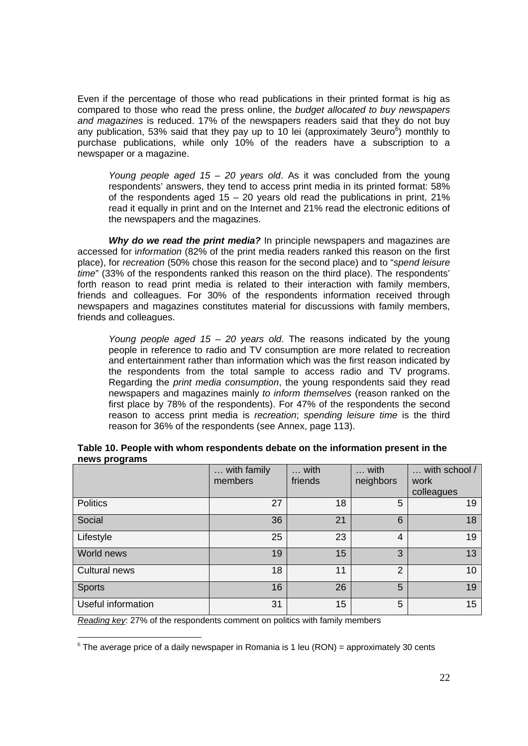Even if the percentage of those who read publications in their printed format is hig as compared to those who read the press online, the *budget allocated to buy newspapers and magazines* is reduced. 17% of the newspapers readers said that they do not buy any publication, 53% said that they pay up to 10 lei (approximately 3euro $^6$ ) monthly to purchase publications, while only 10% of the readers have a subscription to a newspaper or a magazine.

*Young people aged 15 – 20 years old*. As it was concluded from the young respondents' answers, they tend to access print media in its printed format: 58% of the respondents aged  $15 - 20$  years old read the publications in print,  $21\%$ read it equally in print and on the Internet and 21% read the electronic editions of the newspapers and the magazines.

*Why do we read the print media?* In principle newspapers and magazines are accessed for i*nformation* (82% of the print media readers ranked this reason on the first place), for *recreation* (50% chose this reason for the second place) and to "*spend leisure time*" (33% of the respondents ranked this reason on the third place). The respondents' forth reason to read print media is related to their interaction with family members, friends and colleagues. For 30% of the respondents information received through newspapers and magazines constitutes material for discussions with family members, friends and colleagues.

*Young people aged 15 – 20 years old*. The reasons indicated by the young people in reference to radio and TV consumption are more related to recreation and entertainment rather than information which was the first reason indicated by the respondents from the total sample to access radio and TV programs. Regarding the *print media consumption*, the young respondents said they read newspapers and magazines mainly *to inform themselves* (reason ranked on the first place by 78% of the respondents). For 47% of the respondents the second reason to access print media is *recreation*; *spending leisure time* is the third reason for 36% of the respondents (see Annex, page 113).

|                      | with family<br>members | with<br>friends | with<br>neighbors | with school /<br>work<br>colleagues |
|----------------------|------------------------|-----------------|-------------------|-------------------------------------|
| <b>Politics</b>      | 27                     | 18              | 5                 | 19                                  |
| Social               | 36                     | 21              | 6                 | 18                                  |
| Lifestyle            | 25                     | 23              | 4                 | 19                                  |
| World news           | 19                     | 15              | 3                 | 13                                  |
| <b>Cultural news</b> | 18                     | 11              | $\overline{2}$    | 10                                  |
| <b>Sports</b>        | 16                     | 26              | 5                 | 19                                  |
| Useful information   | 31                     | 15              | 5                 | 15                                  |

**Table 10. People with whom respondents debate on the information present in the news programs** 

*Reading key*: 27% of the respondents comment on politics with family members

 $\overline{a}$ 

 $6$  The average price of a daily newspaper in Romania is 1 leu (RON) = approximately 30 cents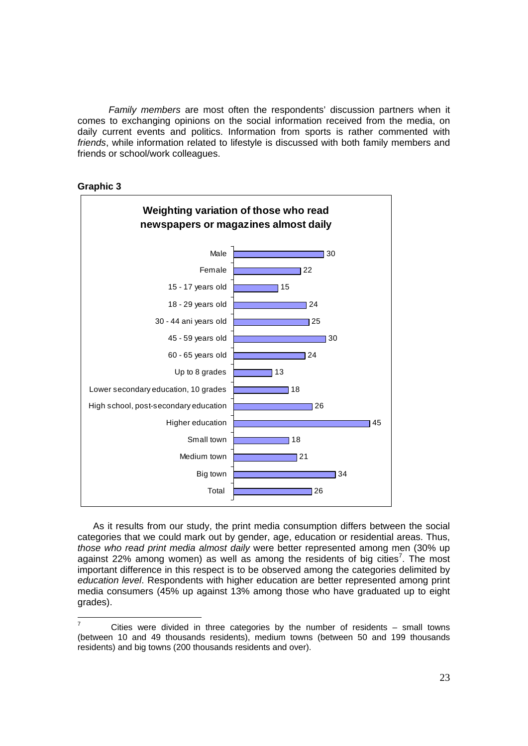*Family members* are most often the respondents' discussion partners when it comes to exchanging opinions on the social information received from the media, on daily current events and politics. Information from sports is rather commented with *friends*, while information related to lifestyle is discussed with both family members and friends or school/work colleagues.



**Graphic 3** 

As it results from our study, the print media consumption differs between the social categories that we could mark out by gender, age, education or residential areas. Thus, *those who read print media almost daily* were better represented among men (30% up against 22% among women) as well as among the residents of big cities<sup>7</sup>. The most important difference in this respect is to be observed among the categories delimited by *education level*. Respondents with higher education are better represented among print media consumers (45% up against 13% among those who have graduated up to eight grades).

 $\frac{1}{7}$  Cities were divided in three categories by the number of residents – small towns (between 10 and 49 thousands residents), medium towns (between 50 and 199 thousands residents) and big towns (200 thousands residents and over).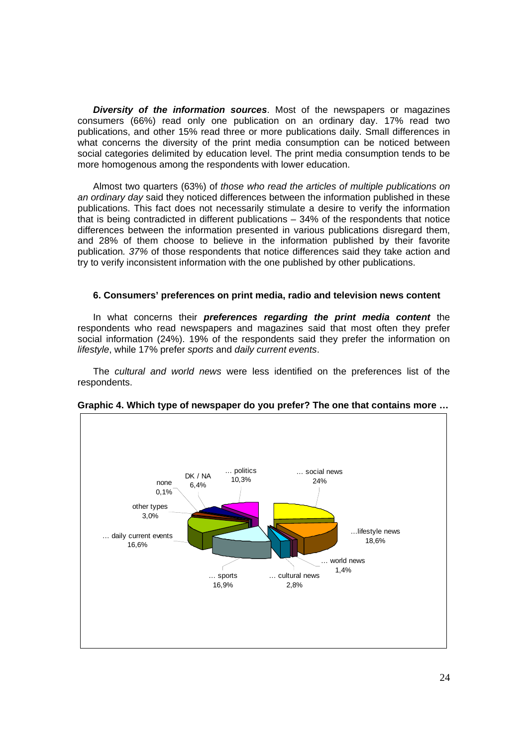*Diversity of the information sources*. Most of the newspapers or magazines consumers (66%) read only one publication on an ordinary day. 17% read two publications, and other 15% read three or more publications daily. Small differences in what concerns the diversity of the print media consumption can be noticed between social categories delimited by education level. The print media consumption tends to be more homogenous among the respondents with lower education.

Almost two quarters (63%) of *those who read the articles of multiple publications on an ordinary day* said they noticed differences between the information published in these publications. This fact does not necessarily stimulate a desire to verify the information that is being contradicted in different publications – 34% of the respondents that notice differences between the information presented in various publications disregard them, and 28% of them choose to believe in the information published by their favorite publication*. 37%* of those respondents that notice differences said they take action and try to verify inconsistent information with the one published by other publications.

## **6. Consumers' preferences on print media, radio and television news content**

In what concerns their *preferences regarding the print media content* the respondents who read newspapers and magazines said that most often they prefer social information (24%). 19% of the respondents said they prefer the information on *lifestyle*, while 17% prefer *sports* and *daily current events*.

The *cultural and world news* were less identified on the preferences list of the respondents.



**Graphic 4. Which type of newspaper do you prefer? The one that contains more …**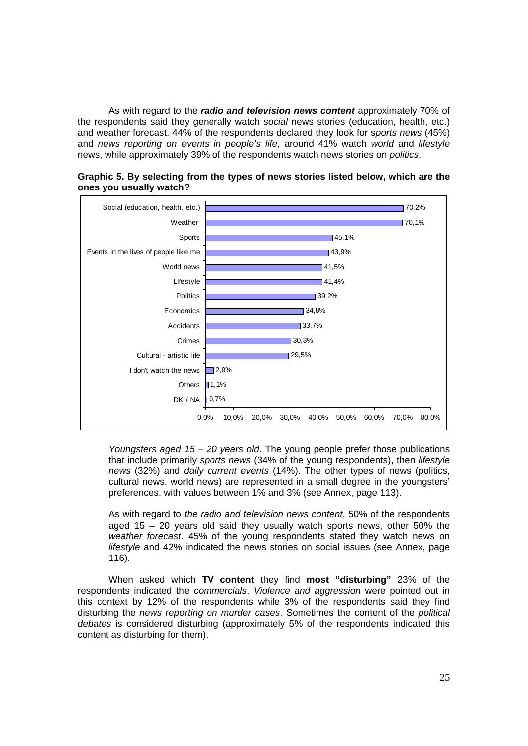As with regard to the *radio and television news content* approximately 70% of the respondents said they generally watch *social* news stories (education, health, etc.) and weather forecast. 44% of the respondents declared they look for s*ports news* (45%) and *news reporting on events in people's life*, around 41% watch *world* and *lifestyle*  news, while approximately 39% of the respondents watch news stories on *politics*.





*Youngsters aged 15 – 20 years old*. The young people prefer those publications that include primarily *sports news* (34% of the young respondents), then *lifestyle news* (32%) and *daily current events* (14%). The other types of news (politics, cultural news, world news) are represented in a small degree in the youngsters' preferences, with values between 1% and 3% (see Annex, page 113).

As with regard to *the radio and television news content*, 50% of the respondents aged 15 – 20 years old said they usually watch sports news, other 50% the *weather forecast*. 45% of the young respondents stated they watch news on *lifestyle* and 42% indicated the news stories on social issues (see Annex, page 116).

When asked which **TV content** they find **most "disturbing"** 23% of the respondents indicated the *commercials*. *Violence and aggression* were pointed out in this context by 12% of the respondents while 3% of the respondents said they find disturbing the *news reporting on murder cases*. Sometimes the content of the *political debates* is considered disturbing (approximately 5% of the respondents indicated this content as disturbing for them).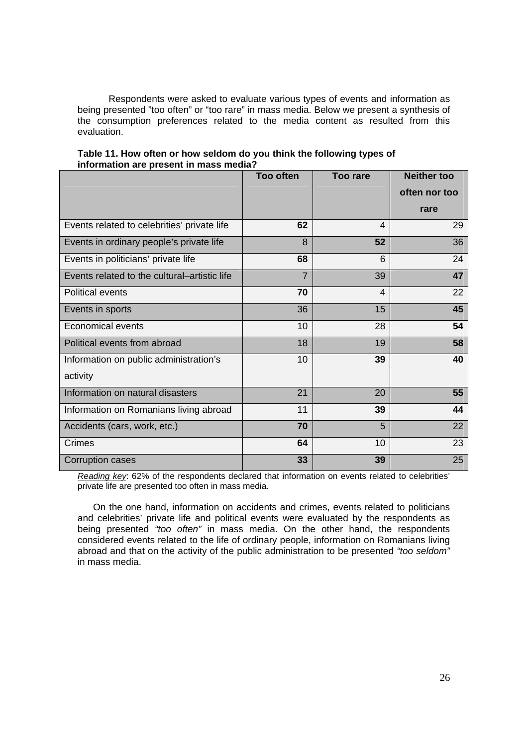Respondents were asked to evaluate various types of events and information as being presented "too often" or "too rare" in mass media. Below we present a synthesis of the consumption preferences related to the media content as resulted from this evaluation.

|                                              | <b>Too often</b> | <b>Too rare</b> | <b>Neither too</b> |
|----------------------------------------------|------------------|-----------------|--------------------|
|                                              |                  |                 | often nor too      |
|                                              |                  |                 | rare               |
| Events related to celebrities' private life  | 62               | $\overline{4}$  | 29                 |
| Events in ordinary people's private life     | 8                | 52              | 36                 |
| Events in politicians' private life          | 68               | 6               | 24                 |
| Events related to the cultural–artistic life | $\overline{7}$   | 39              | 47                 |
| Political events                             | 70               | $\overline{4}$  | 22                 |
| Events in sports                             | 36               | 15              | 45                 |
| <b>Economical events</b>                     | 10               | 28              | 54                 |
| Political events from abroad                 | 18               | 19              | 58                 |
| Information on public administration's       | 10               | 39              | 40                 |
| activity                                     |                  |                 |                    |
| Information on natural disasters             | 21               | 20              | 55                 |
| Information on Romanians living abroad       | 11               | 39              | 44                 |
| Accidents (cars, work, etc.)                 | 70               | 5               | 22                 |
| <b>Crimes</b>                                | 64               | 10              | 23                 |
| Corruption cases                             | 33               | 39              | 25                 |

## **Table 11. How often or how seldom do you think the following types of information are present in mass media?**

*Reading key*: 62% of the respondents declared that information on events related to celebrities' private life are presented too often in mass media.

On the one hand, information on accidents and crimes, events related to politicians and celebrities' private life and political events were evaluated by the respondents as being presented *"too often"* in mass media. On the other hand, the respondents considered events related to the life of ordinary people, information on Romanians living abroad and that on the activity of the public administration to be presented *"too seldom"* in mass media.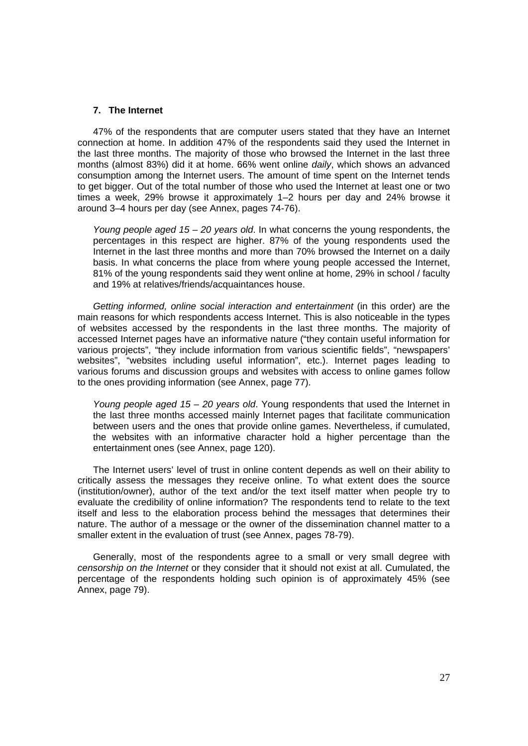#### **7. The Internet**

47% of the respondents that are computer users stated that they have an Internet connection at home. In addition 47% of the respondents said they used the Internet in the last three months. The majority of those who browsed the Internet in the last three months (almost 83%) did it at home. 66% went online *daily*, which shows an advanced consumption among the Internet users. The amount of time spent on the Internet tends to get bigger. Out of the total number of those who used the Internet at least one or two times a week, 29% browse it approximately 1–2 hours per day and 24% browse it around 3–4 hours per day (see Annex, pages 74-76).

*Young people aged 15 – 20 years old*. In what concerns the young respondents, the percentages in this respect are higher. 87% of the young respondents used the Internet in the last three months and more than 70% browsed the Internet on a daily basis. In what concerns the place from where young people accessed the Internet, 81% of the young respondents said they went online at home, 29% in school / faculty and 19% at relatives/friends/acquaintances house.

*Getting informed, online social interaction and entertainment* (in this order) are the main reasons for which respondents access Internet. This is also noticeable in the types of websites accessed by the respondents in the last three months. The majority of accessed Internet pages have an informative nature ("they contain useful information for various projects", "they include information from various scientific fields", "newspapers' websites", "websites including useful information", etc.). Internet pages leading to various forums and discussion groups and websites with access to online games follow to the ones providing information (see Annex, page 77).

*Young people aged 15 – 20 years old*. Young respondents that used the Internet in the last three months accessed mainly Internet pages that facilitate communication between users and the ones that provide online games. Nevertheless, if cumulated, the websites with an informative character hold a higher percentage than the entertainment ones (see Annex, page 120).

The Internet users' level of trust in online content depends as well on their ability to critically assess the messages they receive online. To what extent does the source (institution/owner), author of the text and/or the text itself matter when people try to evaluate the credibility of online information? The respondents tend to relate to the text itself and less to the elaboration process behind the messages that determines their nature. The author of a message or the owner of the dissemination channel matter to a smaller extent in the evaluation of trust (see Annex, pages 78-79).

Generally, most of the respondents agree to a small or very small degree with *censorship on the Internet* or they consider that it should not exist at all. Cumulated, the percentage of the respondents holding such opinion is of approximately 45% (see Annex, page 79).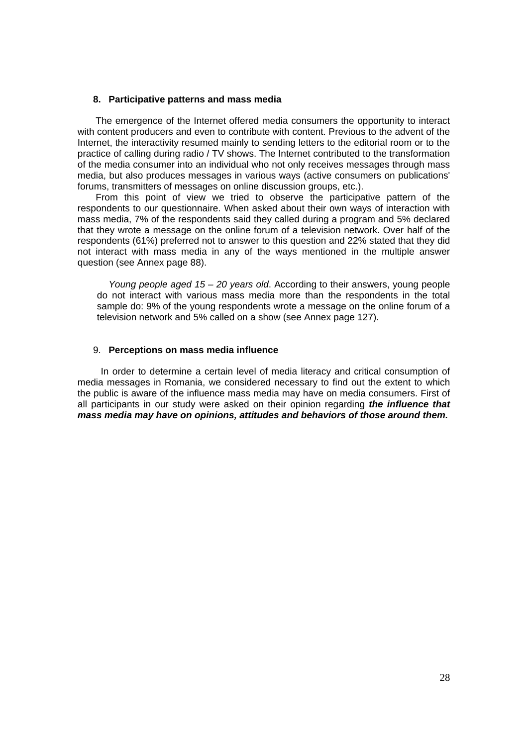#### **8. Participative patterns and mass media**

 The emergence of the Internet offered media consumers the opportunity to interact with content producers and even to contribute with content. Previous to the advent of the Internet, the interactivity resumed mainly to sending letters to the editorial room or to the practice of calling during radio / TV shows. The Internet contributed to the transformation of the media consumer into an individual who not only receives messages through mass media, but also produces messages in various ways (active consumers on publications' forums, transmitters of messages on online discussion groups, etc.).

 From this point of view we tried to observe the participative pattern of the respondents to our questionnaire. When asked about their own ways of interaction with mass media, 7% of the respondents said they called during a program and 5% declared that they wrote a message on the online forum of a television network. Over half of the respondents (61%) preferred not to answer to this question and 22% stated that they did not interact with mass media in any of the ways mentioned in the multiple answer question (see Annex page 88).

*Young people aged 15 – 20 years old*. According to their answers, young people do not interact with various mass media more than the respondents in the total sample do: 9% of the young respondents wrote a message on the online forum of a television network and 5% called on a show (see Annex page 127).

#### 9. **Perceptions on mass media influence**

 In order to determine a certain level of media literacy and critical consumption of media messages in Romania, we considered necessary to find out the extent to which the public is aware of the influence mass media may have on media consumers. First of all participants in our study were asked on their opinion regarding *the influence that mass media may have on opinions, attitudes and behaviors of those around them.*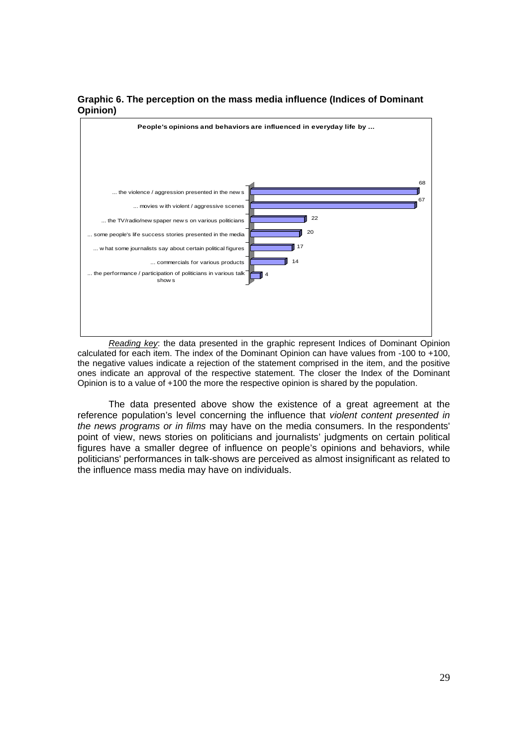



*Reading key*: the data presented in the graphic represent Indices of Dominant Opinion calculated for each item. The index of the Dominant Opinion can have values from -100 to +100, the negative values indicate a rejection of the statement comprised in the item, and the positive ones indicate an approval of the respective statement. The closer the Index of the Dominant Opinion is to a value of +100 the more the respective opinion is shared by the population.

The data presented above show the existence of a great agreement at the reference population's level concerning the influence that *violent content presented in the news programs or in films* may have on the media consumers. In the respondents' point of view, news stories on politicians and journalists' judgments on certain political figures have a smaller degree of influence on people's opinions and behaviors, while politicians' performances in talk-shows are perceived as almost insignificant as related to the influence mass media may have on individuals.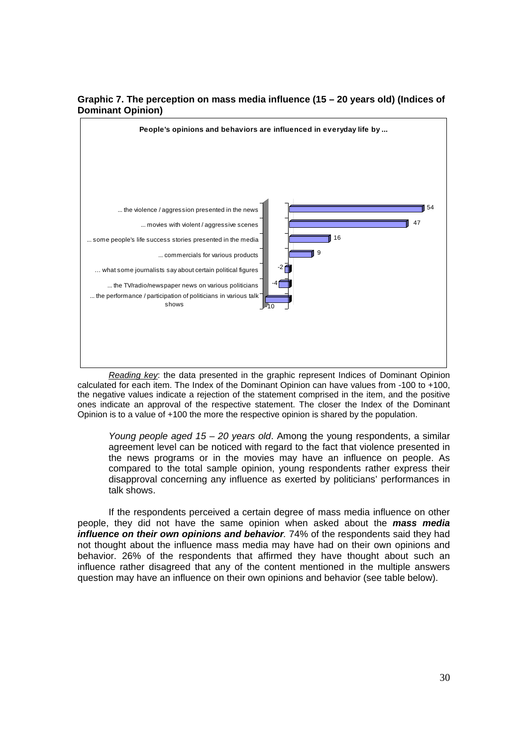

## **Graphic 7. The perception on mass media influence (15 – 20 years old) (Indices of Dominant Opinion)**

*Reading key*: the data presented in the graphic represent Indices of Dominant Opinion calculated for each item. The Index of the Dominant Opinion can have values from -100 to +100, the negative values indicate a rejection of the statement comprised in the item, and the positive ones indicate an approval of the respective statement. The closer the Index of the Dominant Opinion is to a value of +100 the more the respective opinion is shared by the population.

*Young people aged 15 – 20 years old*. Among the young respondents, a similar agreement level can be noticed with regard to the fact that violence presented in the news programs or in the movies may have an influence on people. As compared to the total sample opinion, young respondents rather express their disapproval concerning any influence as exerted by politicians' performances in talk shows.

If the respondents perceived a certain degree of mass media influence on other people, they did not have the same opinion when asked about the *mass media influence on their own opinions and behavior.* 74% of the respondents said they had not thought about the influence mass media may have had on their own opinions and behavior. 26% of the respondents that affirmed they have thought about such an influence rather disagreed that any of the content mentioned in the multiple answers question may have an influence on their own opinions and behavior (see table below).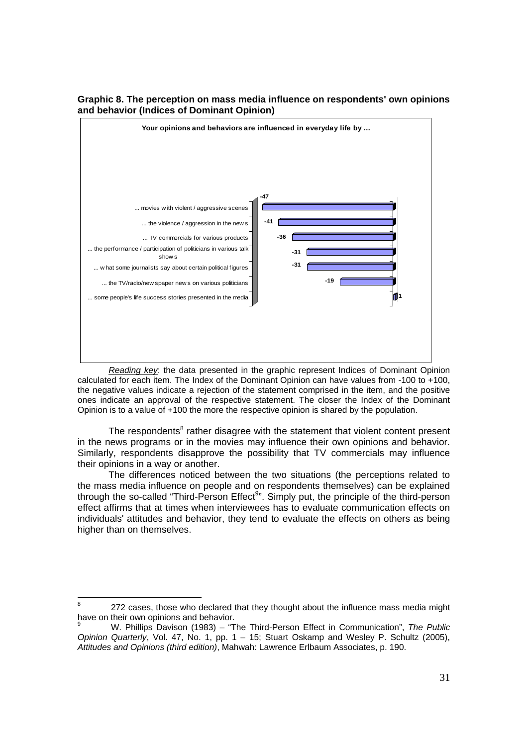

## **Graphic 8. The perception on mass media influence on respondents' own opinions and behavior (Indices of Dominant Opinion)**

*Reading key*: the data presented in the graphic represent Indices of Dominant Opinion calculated for each item. The Index of the Dominant Opinion can have values from -100 to +100, the negative values indicate a rejection of the statement comprised in the item, and the positive ones indicate an approval of the respective statement. The closer the Index of the Dominant Opinion is to a value of +100 the more the respective opinion is shared by the population.

The respondents<sup>8</sup> rather disagree with the statement that violent content present in the news programs or in the movies may influence their own opinions and behavior. Similarly, respondents disapprove the possibility that TV commercials may influence their opinions in a way or another.

The differences noticed between the two situations (the perceptions related to the mass media influence on people and on respondents themselves) can be explained through the so-called "Third-Person Effect<sup>9</sup>". Simply put, the principle of the third-person effect affirms that at times when interviewees has to evaluate communication effects on individuals' attitudes and behavior, they tend to evaluate the effects on others as being higher than on themselves.

 8 272 cases, those who declared that they thought about the influence mass media might have on their own opinions and behavior.

<sup>9</sup> W. Phillips Davison (1983) – "The Third-Person Effect in Communication", *The Public Opinion Quarterly*, Vol. 47, No. 1, pp. 1 - 15; Stuart Oskamp and Wesley P. Schultz (2005), *Attitudes and Opinions (third edition)*, Mahwah: Lawrence Erlbaum Associates, p. 190.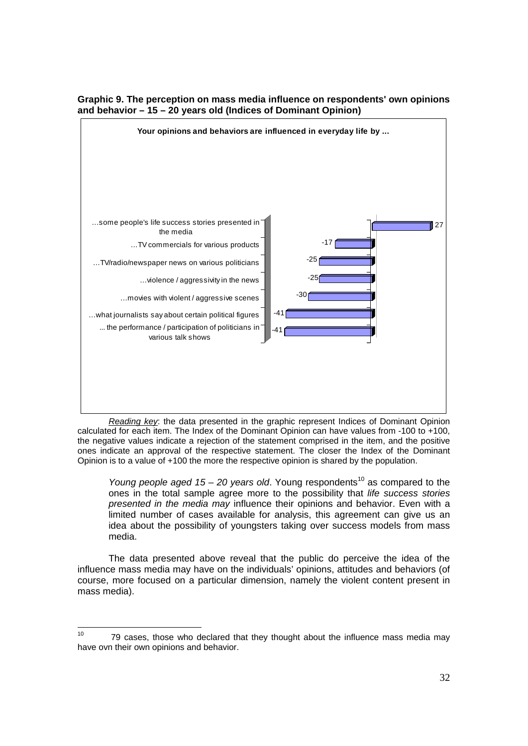

## **Graphic 9. The perception on mass media influence on respondents' own opinions and behavior – 15 – 20 years old (Indices of Dominant Opinion)**

*Reading key*: the data presented in the graphic represent Indices of Dominant Opinion calculated for each item. The Index of the Dominant Opinion can have values from -100 to +100, the negative values indicate a rejection of the statement comprised in the item, and the positive ones indicate an approval of the respective statement. The closer the Index of the Dominant Opinion is to a value of +100 the more the respective opinion is shared by the population.

*Young people aged 15 – 20 years old.* Young respondents<sup>10</sup> as compared to the ones in the total sample agree more to the possibility that *life success stories presented in the media may* influence their opinions and behavior. Even with a limited number of cases available for analysis, this agreement can give us an idea about the possibility of youngsters taking over success models from mass media.

The data presented above reveal that the public do perceive the idea of the influence mass media may have on the individuals' opinions, attitudes and behaviors (of course, more focused on a particular dimension, namely the violent content present in mass media).

 $10<sup>10</sup>$ 10 79 cases, those who declared that they thought about the influence mass media may have ovn their own opinions and behavior.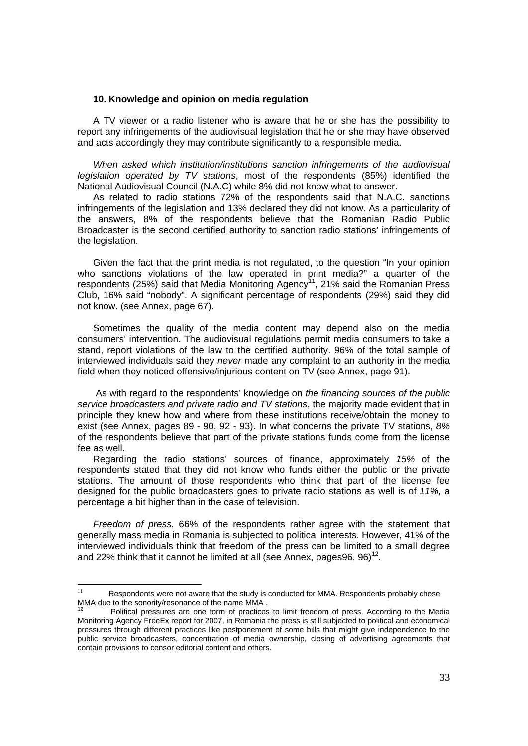#### **10. Knowledge and opinion on media regulation**

A TV viewer or a radio listener who is aware that he or she has the possibility to report any infringements of the audiovisual legislation that he or she may have observed and acts accordingly they may contribute significantly to a responsible media.

*When asked which institution/institutions sanction infringements of the audiovisual legislation operated by TV stations*, most of the respondents (85%) identified the National Audiovisual Council (N.A.C) while 8% did not know what to answer.

As related to radio stations 72% of the respondents said that N.A.C. sanctions infringements of the legislation and 13% declared they did not know. As a particularity of the answers, 8% of the respondents believe that the Romanian Radio Public Broadcaster is the second certified authority to sanction radio stations' infringements of the legislation.

Given the fact that the print media is not regulated, to the question "In your opinion who sanctions violations of the law operated in print media?" a quarter of the respondents (25%) said that Media Monitoring Agency<sup>11</sup>, 21% said the Romanian Press Club, 16% said "nobody". A significant percentage of respondents (29%) said they did not know. (see Annex, page 67).

Sometimes the quality of the media content may depend also on the media consumers' intervention. The audiovisual regulations permit media consumers to take a stand, report violations of the law to the certified authority. 96% of the total sample of interviewed individuals said they *never* made any complaint to an authority in the media field when they noticed offensive/injurious content on TV (see Annex, page 91).

 As with regard to the respondents' knowledge on *the financing sources of the public service broadcasters and private radio and TV stations*, the majority made evident that in principle they knew how and where from these institutions receive/obtain the money to exist (see Annex, pages 89 - 90, 92 - 93). In what concerns the private TV stations, *8%* of the respondents believe that part of the private stations funds come from the license fee as well.

Regarding the radio stations' sources of finance, approximately *15%* of the respondents stated that they did not know who funds either the public or the private stations. The amount of those respondents who think that part of the license fee designed for the public broadcasters goes to private radio stations as well is of *11%,* a percentage a bit higher than in the case of television.

*Freedom of press.* 66% of the respondents rather agree with the statement that generally mass media in Romania is subjected to political interests. However, 41% of the interviewed individuals think that freedom of the press can be limited to a small degree and 22% think that it cannot be limited at all (see Annex, pages 96,  $96$ )<sup>12</sup>.

 $11$ Respondents were not aware that the study is conducted for MMA. Respondents probably chose MMA due to the sonority/resonance of the name MMA .

Political pressures are one form of practices to limit freedom of press. According to the Media Monitoring Agency FreeEx report for 2007, in Romania the press is still subjected to political and economical pressures through different practices like postponement of some bills that might give independence to the public service broadcasters, concentration of media ownership, closing of advertising agreements that contain provisions to censor editorial content and others.